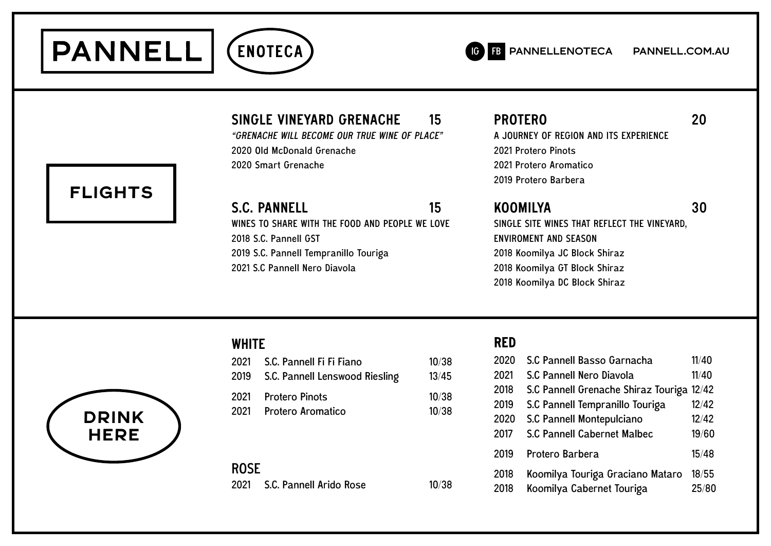



# SINGLE VINEYARD GRENACHE 15

"GRENACHE WILL BECOME OUR TRUE WINE OF PLACE" 2020 Old McDonald Grenache 2020 Smart Grenache

S.C. PANNELL 15 WINES TO SHARE WITH THE FOOD AND PEOPLE WE LOVE

2019 S.C. Pannell Tempranillo Touriga

2021 S.C Pannell Nero Diavola

2018 S.C. Pannell GST

**WHITE** 

PROTERO 20

A JOURNEY OF REGION AND ITS EXPERIENCE 2021 Protero Pinots 2021 Protero Aromatico 2019 Protero Barbera

### KOOMILYA 30 SINGLE SITE WINES THAT REFLECT THE VINEYARD,

ENVIROMENT AND SEASON 2018 Koomilya JC Block Shiraz 2018 Koomilya GT Block Shiraz 2018 Koomilya DC Block Shiraz



| 2021         | S.C. Pannell Fi Fi Fiano<br>2019 S.C. Pannell Lenswood Riesling | 10/38<br>13/45 |
|--------------|-----------------------------------------------------------------|----------------|
| 2021<br>2021 | <b>Protero Pinots</b><br>Protero Aromatico                      | 10/38<br>10/38 |
|              |                                                                 |                |

ROSE 2021 S.C. Pannell Arido Rosé 10/38

## **RED**

| 2020 | S.C Pannell Basso Garnacha                | 11/40 |
|------|-------------------------------------------|-------|
| 2021 | S.C Pannell Nero Diavola                  | 11/40 |
| 2018 | S.C Pannell Grenache Shiraz Touriga 12/42 |       |
| 2019 | S.C Pannell Tempranillo Touriga           | 12/42 |
| 2020 | S.C Pannell Montepulciano                 | 12/42 |
| 2017 | S.C Pannell Cabernet Malbec               | 19/60 |
| 2019 | Protero Barbera                           | 15/48 |
| 2018 | Koomilya Touriga Graciano Mataro          | 18/55 |
| 2018 | Koomilya Cabernet Touriga                 | 25/80 |

# **FLIGHTS**